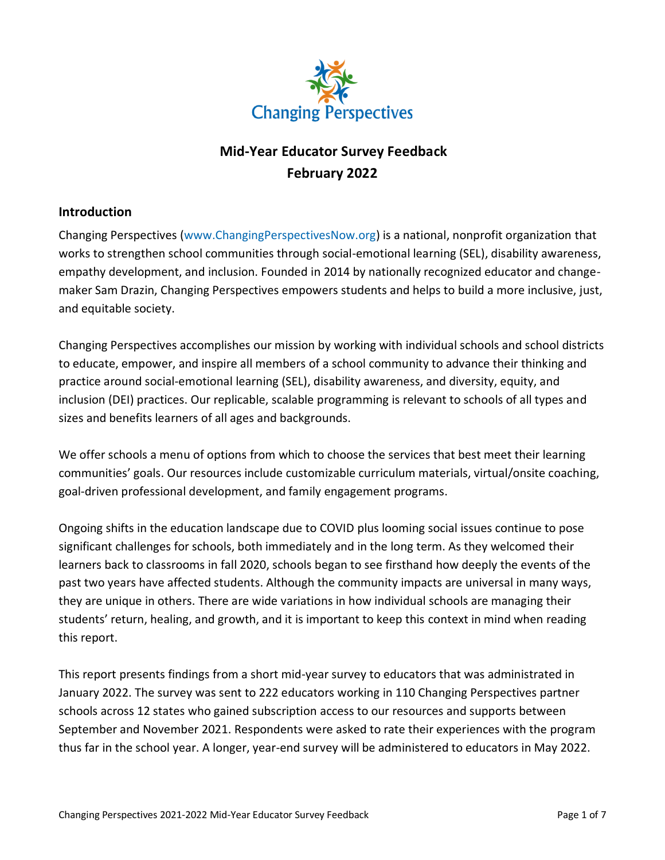

# **Mid-Year Educator Survey Feedback February 2022**

### **Introduction**

Changing Perspectives [\(www.ChangingPerspectivesNow.org\)](http://www.changingperspectivesnow.org/) is a national, nonprofit organization that works to strengthen school communities through social-emotional learning (SEL), disability awareness, empathy development, and inclusion. Founded in 2014 by nationally recognized educator and changemaker Sam Drazin, Changing Perspectives empowers students and helps to build a more inclusive, just, and equitable society.

Changing Perspectives accomplishes our mission by working with individual schools and school districts to educate, empower, and inspire all members of a school community to advance their thinking and practice around social-emotional learning (SEL), disability awareness, and diversity, equity, and inclusion (DEI) practices. Our replicable, scalable programming is relevant to schools of all types and sizes and benefits learners of all ages and backgrounds.

We offer schools a menu of options from which to choose the services that best meet their learning communities' goals. Our resources include customizable curriculum materials, virtual/onsite coaching, goal-driven professional development, and family engagement programs.

Ongoing shifts in the education landscape due to COVID plus looming social issues continue to pose significant challenges for schools, both immediately and in the long term. As they welcomed their learners back to classrooms in fall 2020, schools began to see firsthand how deeply the events of the past two years have affected students. Although the community impacts are universal in many ways, they are unique in others. There are wide variations in how individual schools are managing their students' return, healing, and growth, and it is important to keep this context in mind when reading this report.

This report presents findings from a short mid-year survey to educators that was administrated in January 2022. The survey was sent to 222 educators working in 110 Changing Perspectives partner schools across 12 states who gained subscription access to our resources and supports between September and November 2021. Respondents were asked to rate their experiences with the program thus far in the school year. A longer, year-end survey will be administered to educators in May 2022.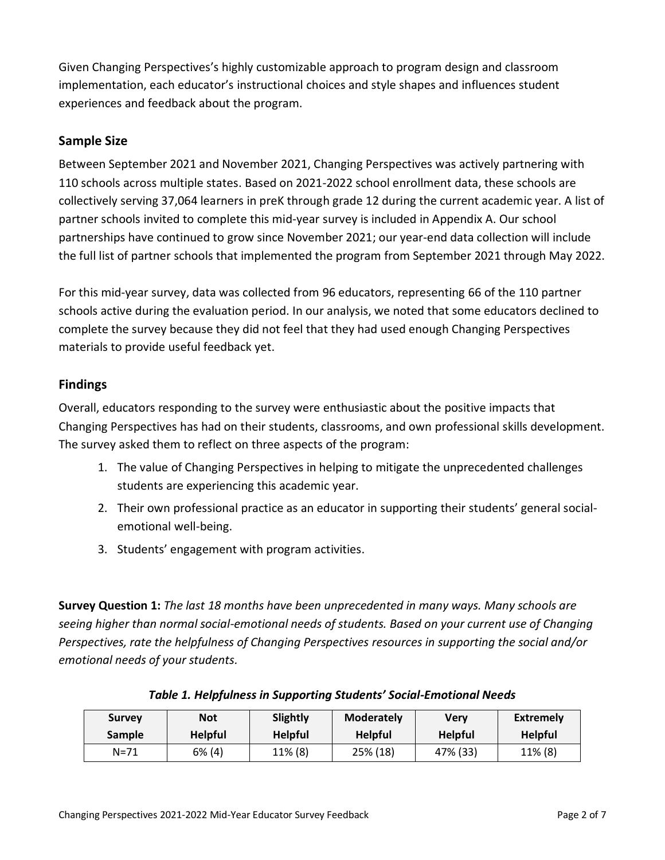Given Changing Perspectives's highly customizable approach to program design and classroom implementation, each educator's instructional choices and style shapes and influences student experiences and feedback about the program.

## **Sample Size**

Between September 2021 and November 2021, Changing Perspectives was actively partnering with 110 schools across multiple states. Based on 2021-2022 school enrollment data, these schools are collectively serving 37,064 learners in preK through grade 12 during the current academic year. A list of partner schools invited to complete this mid-year survey is included in Appendix A. Our school partnerships have continued to grow since November 2021; our year-end data collection will include the full list of partner schools that implemented the program from September 2021 through May 2022.

For this mid-year survey, data was collected from 96 educators, representing 66 of the 110 partner schools active during the evaluation period. In our analysis, we noted that some educators declined to complete the survey because they did not feel that they had used enough Changing Perspectives materials to provide useful feedback yet.

### **Findings**

Overall, educators responding to the survey were enthusiastic about the positive impacts that Changing Perspectives has had on their students, classrooms, and own professional skills development. The survey asked them to reflect on three aspects of the program:

- 1. The value of Changing Perspectives in helping to mitigate the unprecedented challenges students are experiencing this academic year.
- 2. Their own professional practice as an educator in supporting their students' general socialemotional well-being.
- 3. Students' engagement with program activities.

**Survey Question 1:** *The last 18 months have been unprecedented in many ways. Many schools are seeing higher than normal social-emotional needs of students. Based on your current use of Changing Perspectives, rate the helpfulness of Changing Perspectives resources in supporting the social and/or emotional needs of your students.*

| <b>Survey</b> | <b>Not</b>     | <b>Slightly</b> | <b>Moderately</b> | Verv           | Extremely      |
|---------------|----------------|-----------------|-------------------|----------------|----------------|
| <b>Sample</b> | <b>Helpful</b> | <b>Helpful</b>  | <b>Helpful</b>    | <b>Helpful</b> | <b>Helpful</b> |
| N=71          | $6\%$ (4)      | $11\%$ (8)      | 25% (18)          | 47% (33)       | $11\%$ (8)     |

#### *Table 1. Helpfulness in Supporting Students' Social-Emotional Needs*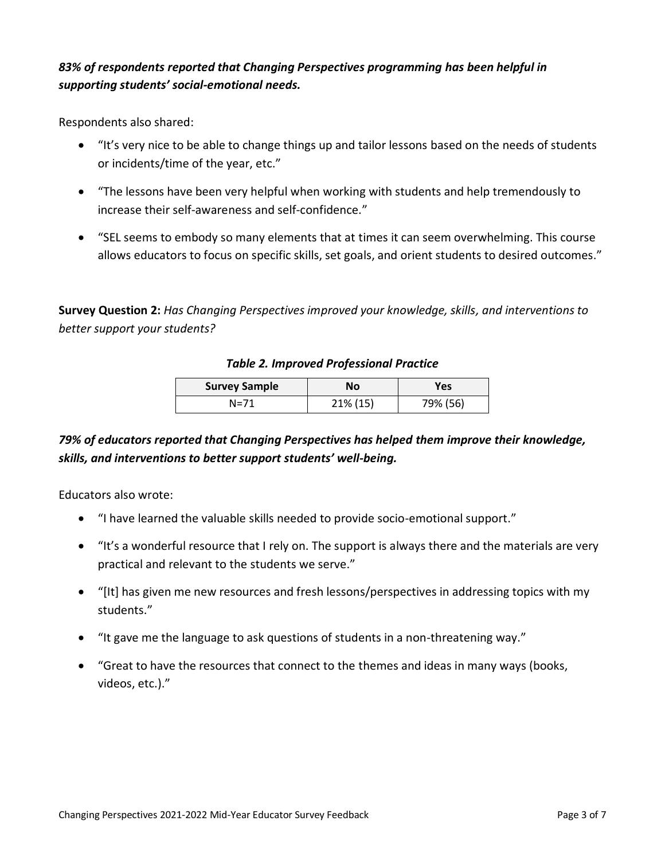## *83% of respondents reported that Changing Perspectives programming has been helpful in supporting students' social-emotional needs.*

Respondents also shared:

- "It's very nice to be able to change things up and tailor lessons based on the needs of students or incidents/time of the year, etc."
- "The lessons have been very helpful when working with students and help tremendously to increase their self-awareness and self-confidence."
- "SEL seems to embody so many elements that at times it can seem overwhelming. This course allows educators to focus on specific skills, set goals, and orient students to desired outcomes."

**Survey Question 2:** *Has Changing Perspectives improved your knowledge, skills, and interventions to better support your students?*

### *Table 2. Improved Professional Practice*

| <b>Survey Sample</b> | Νo       | Yes      |  |
|----------------------|----------|----------|--|
| N=71                 | 21% (15) | 79% (56) |  |

# *79% of educators reported that Changing Perspectives has helped them improve their knowledge, skills, and interventions to better support students' well-being.*

Educators also wrote:

- "I have learned the valuable skills needed to provide socio-emotional support."
- "It's a wonderful resource that I rely on. The support is always there and the materials are very practical and relevant to the students we serve."
- "[It] has given me new resources and fresh lessons/perspectives in addressing topics with my students."
- "It gave me the language to ask questions of students in a non-threatening way."
- "Great to have the resources that connect to the themes and ideas in many ways (books, videos, etc.)."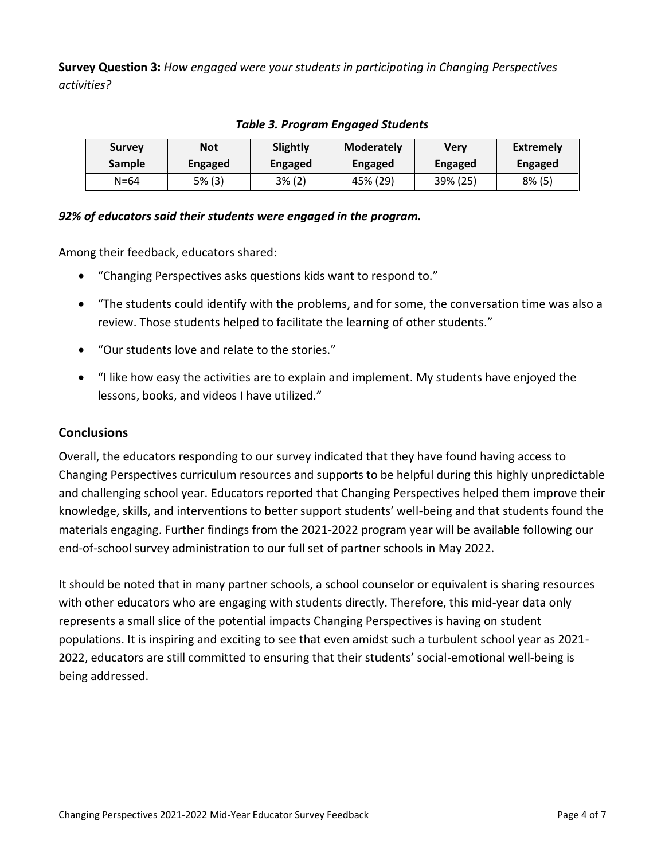**Survey Question 3:** *How engaged were your students in participating in Changing Perspectives activities?*

| <b>Survey</b> | <b>Not</b>     | <b>Slightly</b> | <b>Moderately</b> | Verv           | <b>Extremely</b> |  |
|---------------|----------------|-----------------|-------------------|----------------|------------------|--|
| <b>Sample</b> | <b>Engaged</b> | Engaged         | Engaged           | <b>Engaged</b> | Engaged          |  |
| $N = 64$      | 5% (3)         | $3\%$ (2)       | 45% (29)          | 39% (25)       | $8\%$ (5)        |  |

### *Table 3. Program Engaged Students*

### *92% of educators said their students were engaged in the program.*

Among their feedback, educators shared:

- "Changing Perspectives asks questions kids want to respond to."
- "The students could identify with the problems, and for some, the conversation time was also a review. Those students helped to facilitate the learning of other students."
- "Our students love and relate to the stories."
- "I like how easy the activities are to explain and implement. My students have enjoyed the lessons, books, and videos I have utilized."

### **Conclusions**

Overall, the educators responding to our survey indicated that they have found having access to Changing Perspectives curriculum resources and supports to be helpful during this highly unpredictable and challenging school year. Educators reported that Changing Perspectives helped them improve their knowledge, skills, and interventions to better support students' well-being and that students found the materials engaging. Further findings from the 2021-2022 program year will be available following our end-of-school survey administration to our full set of partner schools in May 2022.

It should be noted that in many partner schools, a school counselor or equivalent is sharing resources with other educators who are engaging with students directly. Therefore, this mid-year data only represents a small slice of the potential impacts Changing Perspectives is having on student populations. It is inspiring and exciting to see that even amidst such a turbulent school year as 2021- 2022, educators are still committed to ensuring that their students' social-emotional well-being is being addressed.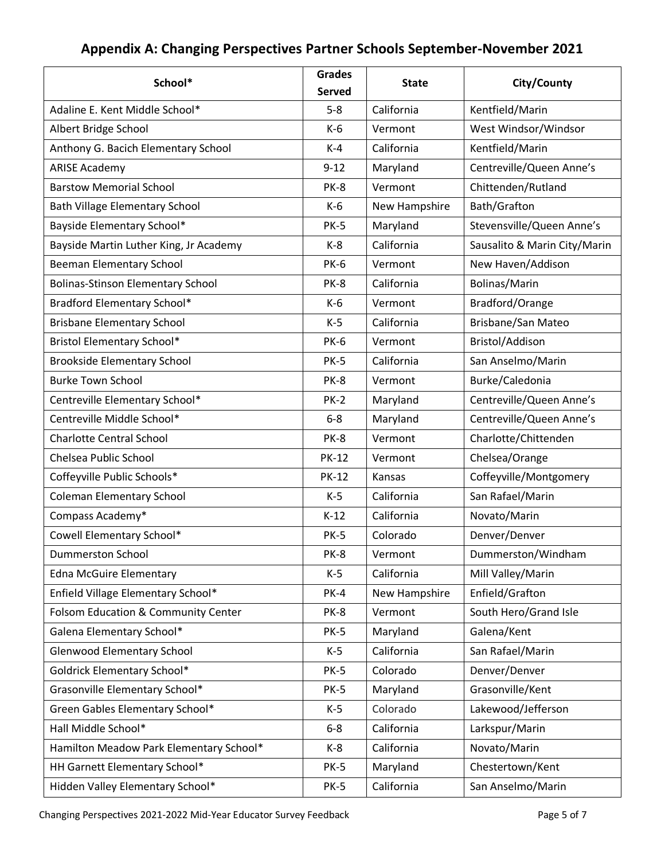# **Appendix A: Changing Perspectives Partner Schools September-November 2021**

| School*                                  | <b>Grades</b><br><b>Served</b> | <b>State</b>  | City/County                  |
|------------------------------------------|--------------------------------|---------------|------------------------------|
| Adaline E. Kent Middle School*           | $5 - 8$                        | California    | Kentfield/Marin              |
| Albert Bridge School                     | $K-6$                          | Vermont       | West Windsor/Windsor         |
| Anthony G. Bacich Elementary School      | $K-4$                          | California    | Kentfield/Marin              |
| <b>ARISE Academy</b>                     | $9 - 12$                       | Maryland      | Centreville/Queen Anne's     |
| <b>Barstow Memorial School</b>           | PK-8                           | Vermont       | Chittenden/Rutland           |
| Bath Village Elementary School           | $K-6$                          | New Hampshire | Bath/Grafton                 |
| Bayside Elementary School*               | <b>PK-5</b>                    | Maryland      | Stevensville/Queen Anne's    |
| Bayside Martin Luther King, Jr Academy   | $K-8$                          | California    | Sausalito & Marin City/Marin |
| Beeman Elementary School                 | <b>PK-6</b>                    | Vermont       | New Haven/Addison            |
| <b>Bolinas-Stinson Elementary School</b> | PK-8                           | California    | Bolinas/Marin                |
| Bradford Elementary School*              | $K-6$                          | Vermont       | Bradford/Orange              |
| <b>Brisbane Elementary School</b>        | $K-5$                          | California    | Brisbane/San Mateo           |
| Bristol Elementary School*               | <b>PK-6</b>                    | Vermont       | Bristol/Addison              |
| <b>Brookside Elementary School</b>       | <b>PK-5</b>                    | California    | San Anselmo/Marin            |
| <b>Burke Town School</b>                 | PK-8                           | Vermont       | Burke/Caledonia              |
| Centreville Elementary School*           | <b>PK-2</b>                    | Maryland      | Centreville/Queen Anne's     |
| Centreville Middle School*               | $6 - 8$                        | Maryland      | Centreville/Queen Anne's     |
| <b>Charlotte Central School</b>          | PK-8                           | Vermont       | Charlotte/Chittenden         |
| Chelsea Public School                    | <b>PK-12</b>                   | Vermont       | Chelsea/Orange               |
| Coffeyville Public Schools*              | <b>PK-12</b>                   | Kansas        | Coffeyville/Montgomery       |
| <b>Coleman Elementary School</b>         | $K-5$                          | California    | San Rafael/Marin             |
| Compass Academy*                         | $K-12$                         | California    | Novato/Marin                 |
| Cowell Elementary School*                | <b>PK-5</b>                    | Colorado      | Denver/Denver                |
| Dummerston School                        | PK-8                           | Vermont       | Dummerston/Windham           |
| <b>Edna McGuire Elementary</b>           | $K-5$                          | California    | Mill Valley/Marin            |
| Enfield Village Elementary School*       | <b>PK-4</b>                    | New Hampshire | Enfield/Grafton              |
| Folsom Education & Community Center      | PK-8                           | Vermont       | South Hero/Grand Isle        |
| Galena Elementary School*                | <b>PK-5</b>                    | Maryland      | Galena/Kent                  |
| <b>Glenwood Elementary School</b>        | $K-5$                          | California    | San Rafael/Marin             |
| <b>Goldrick Elementary School*</b>       | <b>PK-5</b>                    | Colorado      | Denver/Denver                |
| Grasonville Elementary School*           | <b>PK-5</b>                    | Maryland      | Grasonville/Kent             |
| Green Gables Elementary School*          | $K-5$                          | Colorado      | Lakewood/Jefferson           |
| Hall Middle School*                      | $6 - 8$                        | California    | Larkspur/Marin               |
| Hamilton Meadow Park Elementary School*  | K-8                            | California    | Novato/Marin                 |
| HH Garnett Elementary School*            | <b>PK-5</b>                    | Maryland      | Chestertown/Kent             |
| Hidden Valley Elementary School*         | <b>PK-5</b>                    | California    | San Anselmo/Marin            |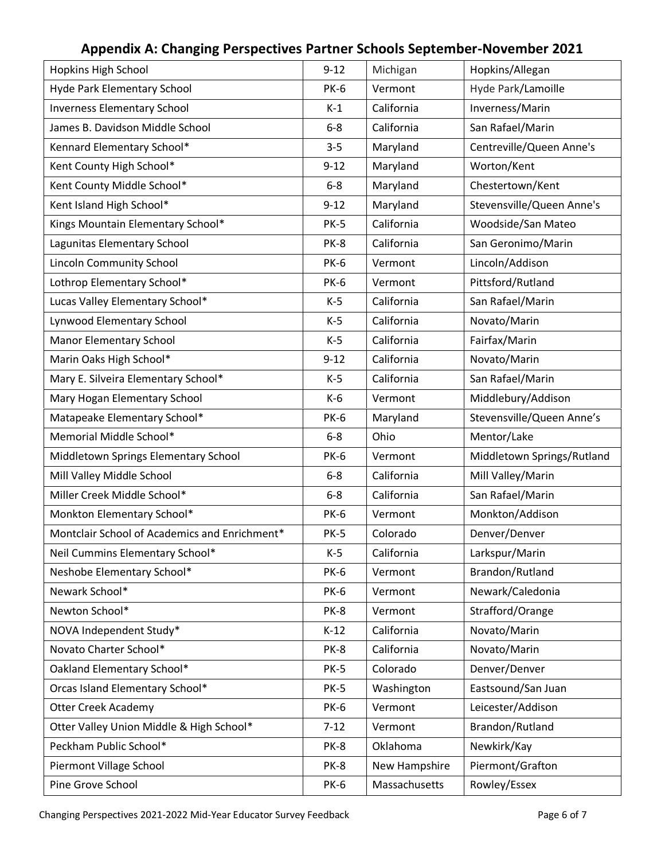| Hopkins High School                           | $9 - 12$    | Michigan      | Hopkins/Allegan            |
|-----------------------------------------------|-------------|---------------|----------------------------|
| Hyde Park Elementary School                   | <b>PK-6</b> | Vermont       | Hyde Park/Lamoille         |
| <b>Inverness Elementary School</b>            | $K-1$       | California    | Inverness/Marin            |
| James B. Davidson Middle School               | $6 - 8$     | California    | San Rafael/Marin           |
| Kennard Elementary School*                    | $3 - 5$     | Maryland      | Centreville/Queen Anne's   |
| Kent County High School*                      | $9 - 12$    | Maryland      | Worton/Kent                |
| Kent County Middle School*                    | $6-8$       | Maryland      | Chestertown/Kent           |
| Kent Island High School*                      | $9 - 12$    | Maryland      | Stevensville/Queen Anne's  |
| Kings Mountain Elementary School*             | <b>PK-5</b> | California    | Woodside/San Mateo         |
| Lagunitas Elementary School                   | PK-8        | California    | San Geronimo/Marin         |
| Lincoln Community School                      | <b>PK-6</b> | Vermont       | Lincoln/Addison            |
| Lothrop Elementary School*                    | <b>PK-6</b> | Vermont       | Pittsford/Rutland          |
| Lucas Valley Elementary School*               | $K-5$       | California    | San Rafael/Marin           |
| Lynwood Elementary School                     | $K-5$       | California    | Novato/Marin               |
| <b>Manor Elementary School</b>                | $K-5$       | California    | Fairfax/Marin              |
| Marin Oaks High School*                       | $9 - 12$    | California    | Novato/Marin               |
| Mary E. Silveira Elementary School*           | $K-5$       | California    | San Rafael/Marin           |
| Mary Hogan Elementary School                  | $K-6$       | Vermont       | Middlebury/Addison         |
| Matapeake Elementary School*                  | <b>PK-6</b> | Maryland      | Stevensville/Queen Anne's  |
| Memorial Middle School*                       | $6 - 8$     | Ohio          | Mentor/Lake                |
| Middletown Springs Elementary School          | <b>PK-6</b> | Vermont       | Middletown Springs/Rutland |
| Mill Valley Middle School                     | $6 - 8$     | California    | Mill Valley/Marin          |
| Miller Creek Middle School*                   | $6 - 8$     | California    | San Rafael/Marin           |
| Monkton Elementary School*                    | <b>PK-6</b> | Vermont       | Monkton/Addison            |
| Montclair School of Academics and Enrichment* | <b>PK-5</b> | Colorado      | Denver/Denver              |
| Neil Cummins Elementary School*               | $K-5$       | California    | Larkspur/Marin             |
| Neshobe Elementary School*                    | <b>PK-6</b> | Vermont       | Brandon/Rutland            |
| Newark School*                                | <b>PK-6</b> | Vermont       | Newark/Caledonia           |
| Newton School*                                | PK-8        | Vermont       | Strafford/Orange           |
| NOVA Independent Study*                       | $K-12$      | California    | Novato/Marin               |
| Novato Charter School*                        | PK-8        | California    | Novato/Marin               |
| Oakland Elementary School*                    | <b>PK-5</b> | Colorado      | Denver/Denver              |
| Orcas Island Elementary School*               | <b>PK-5</b> | Washington    | Eastsound/San Juan         |
| <b>Otter Creek Academy</b>                    | <b>PK-6</b> | Vermont       | Leicester/Addison          |
| Otter Valley Union Middle & High School*      | $7 - 12$    | Vermont       | Brandon/Rutland            |
| Peckham Public School*                        | PK-8        | Oklahoma      | Newkirk/Kay                |
| Piermont Village School                       | PK-8        | New Hampshire | Piermont/Grafton           |
| Pine Grove School                             | <b>PK-6</b> | Massachusetts | Rowley/Essex               |

# **Appendix A: Changing Perspectives Partner Schools September-November 2021**